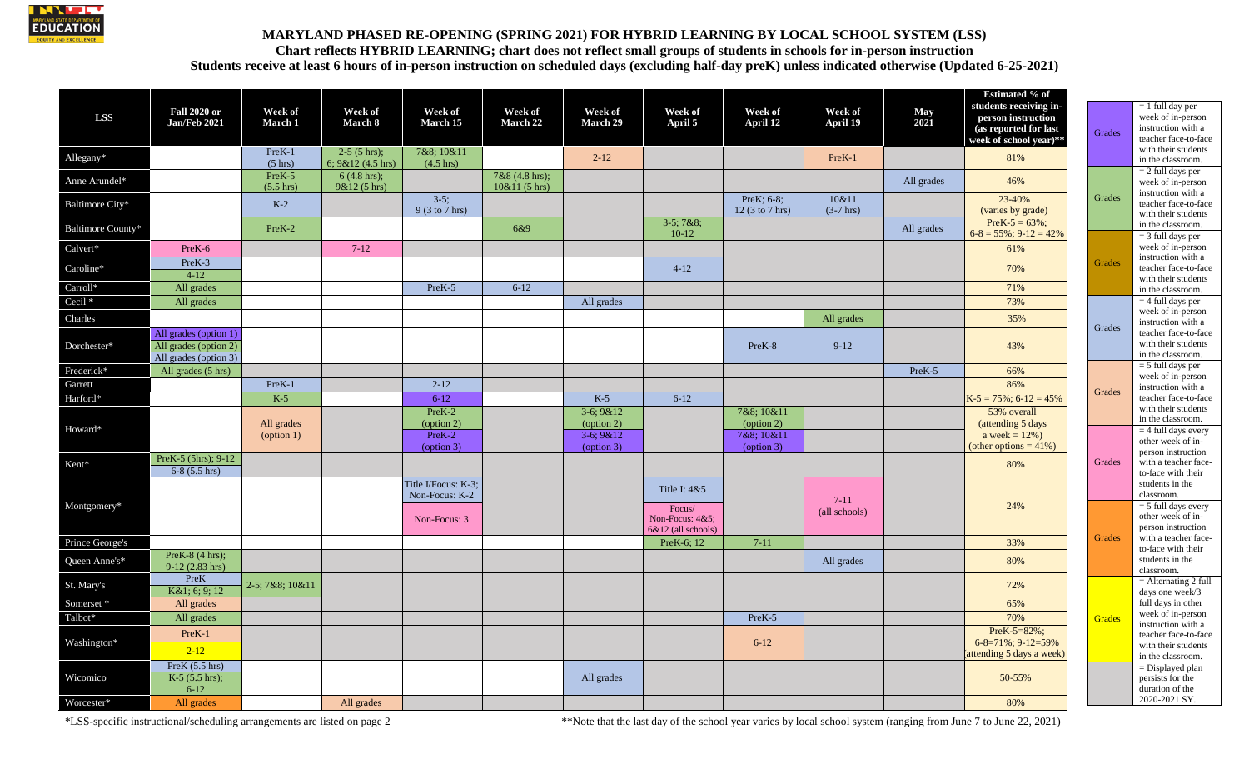

## **MARYLAND PHASED RE-OPENING (SPRING 2021) FOR HYBRID LEARNING BY LOCAL SCHOOL SYSTEM (LSS) Chart reflects HYBRID LEARNING; chart does not reflect small groups of students in schools for in-person instruction Students receive at least 6 hours of in-person instruction on scheduled days (excluding half-day preK) unless indicated otherwise (Updated 6-25-2021)**

|                          |                                                                         |                               |                                          |                                       |                                   |                          |                                       |                                  |                       |             | <b>Estimated % of</b>                                                                           |               |                                                                                                             |
|--------------------------|-------------------------------------------------------------------------|-------------------------------|------------------------------------------|---------------------------------------|-----------------------------------|--------------------------|---------------------------------------|----------------------------------|-----------------------|-------------|-------------------------------------------------------------------------------------------------|---------------|-------------------------------------------------------------------------------------------------------------|
| <b>LSS</b>               | <b>Fall 2020 or</b><br>Jan/Feb 2021                                     | Week of<br><b>March 1</b>     | Week of<br>March 8                       | Week of<br>March 15                   | Week of<br>March 22               | Week of<br>March 29      | Week of<br>April 5                    | Week of<br>April 12              | Week of<br>April 19   | May<br>2021 | students receiving in-<br>person instruction<br>(as reported for last<br>week of school year)** | <b>Grades</b> | $= 1$ full day per<br>week of in-person<br>instruction with a<br>teacher face-to-face                       |
| Allegany*                |                                                                         | PreK-1<br>$(5 \text{ hrs})$   | $2-5$ (5 hrs);<br>6; $9&12(4.5)$ hrs)    | 7&8; 10&11<br>$(4.5 \text{ hrs})$     |                                   | $2 - 12$                 |                                       |                                  | PreK-1                |             | 81%                                                                                             |               | with their students<br>in the classroom.                                                                    |
| Anne Arundel*            |                                                                         | PreK-5<br>$(5.5 \text{ hrs})$ | $6(4.8 \text{ hrs})$ ;<br>$9&12(5)$ hrs) |                                       | 7&8 (4.8 hrs);<br>$10&11(5)$ hrs) |                          |                                       |                                  |                       | All grades  | 46%                                                                                             |               | $= 2$ full days per<br>week of in-person<br>instruction with a                                              |
| Baltimore City*          |                                                                         | $K-2$                         |                                          | $3-5;$<br>9 (3 to 7 hrs)              |                                   |                          |                                       | PreK; 6-8;<br>12(3 to 7 hrs)     | 10&11<br>$(3-7)$ hrs) |             | 23-40%<br>(varies by grade)                                                                     | Grades        | teacher face-to-face<br>with their students                                                                 |
| <b>Baltimore County*</b> |                                                                         | PreK-2                        |                                          |                                       | 6&9                               |                          | $3-5$ ; $7&8$ :<br>$10-12$            |                                  |                       | All grades  | $PreK-5 = 63\%$ ;<br>$6-8 = 55\%; 9-12 = 42\%$                                                  |               | in the classroom.<br>$=$ 3 full days per                                                                    |
| Calvert*                 | PreK-6                                                                  |                               | $7-12$                                   |                                       |                                   |                          |                                       |                                  |                       |             | 61%                                                                                             |               | week of in-person<br>instruction with a<br>teacher face-to-face<br>with their students                      |
| Caroline*                | PreK-3<br>$4 - 12$                                                      |                               |                                          |                                       |                                   |                          | $4-12$                                |                                  |                       |             | 70%                                                                                             | <b>Grades</b> |                                                                                                             |
| Carroll*                 | All grades                                                              |                               |                                          | PreK-5                                | $6 - 12$                          |                          |                                       |                                  |                       |             | 71%                                                                                             |               | in the classroom.                                                                                           |
| Cecil <sup>*</sup>       | All grades                                                              |                               |                                          |                                       |                                   | All grades               |                                       |                                  |                       |             | 73%                                                                                             |               | $= 4$ full days per                                                                                         |
| Charles                  |                                                                         |                               |                                          |                                       |                                   |                          |                                       |                                  | All grades            |             | 35%                                                                                             | Grades        | week of in-person<br>instruction with a<br>teacher face-to-face<br>with their students<br>in the classroom. |
| Dorchester*              | All grades (option 1)<br>All grades (option 2)<br>All grades (option 3) |                               |                                          |                                       |                                   |                          |                                       | PreK-8                           | $9-12$                |             | 43%                                                                                             |               |                                                                                                             |
| Frederick*               | All grades (5 hrs)                                                      |                               |                                          |                                       |                                   |                          |                                       |                                  |                       | PreK-5      | 66%                                                                                             |               | $= 5$ full days per<br>week of in-person                                                                    |
| Garrett                  |                                                                         | PreK-1                        |                                          | $2 - 12$                              |                                   |                          |                                       |                                  |                       |             | 86%                                                                                             | Grades        | instruction with a                                                                                          |
| Harford*                 |                                                                         | $K-5$                         |                                          | $6 - 12$                              |                                   | $K-5$                    | $6 - 12$                              |                                  |                       |             | $K-5 = 75\%; 6-12 = 45\%$                                                                       |               | teacher face-to-face                                                                                        |
| Howard*                  |                                                                         | All grades                    |                                          | $PreK-2$<br>(option 2)                |                                   | $3-6;9&12$<br>(option 2) |                                       | 7&8; 10&11<br>(option 2)         |                       |             | 53% overall<br>(attending 5 days)                                                               |               | with their students<br>in the classroom.                                                                    |
|                          |                                                                         | $\text{(option 1)}$           |                                          | PreK-2<br>(option 3)                  |                                   | $3-6:9&12$<br>(option 3) |                                       | 7&8:10&11<br>$\text{(option 3)}$ |                       |             | a week = $12\%$ )<br>(other options = $41\%$ )                                                  |               | $=$ 4 full days every<br>other week of in-<br>person instruction                                            |
| Kent*                    | PreK-5 (5hrs); 9-12<br>$6-8$ (5.5 hrs)                                  |                               |                                          |                                       |                                   |                          |                                       |                                  |                       |             | 80%                                                                                             | Grades        | with a teacher face-<br>to-face with their                                                                  |
| Montgomery*              |                                                                         |                               |                                          | Title I/Focus: K-3;<br>Non-Focus: K-2 |                                   |                          | Title I: 4&5<br>Focus/                |                                  | $7-11$                |             | 24%                                                                                             | <b>Grades</b> | students in the<br>classroom.<br>$=$ 5 full days every                                                      |
|                          |                                                                         |                               |                                          | Non-Focus: 3                          |                                   |                          | Non-Focus: 4&5;<br>6&12 (all schools) |                                  | (all schools)         |             |                                                                                                 |               | other week of in-<br>person instruction                                                                     |
| Prince George's          |                                                                         |                               |                                          |                                       |                                   |                          | PreK-6; 12                            | $7-11$                           |                       |             | 33%                                                                                             |               | with a teacher face-<br>to-face with their                                                                  |
| Queen Anne's*            | PreK-8 $(4 hrs)$ :<br>$9-12(2.83)$ hrs)                                 |                               |                                          |                                       |                                   |                          |                                       |                                  | All grades            |             | 80%                                                                                             |               | students in the<br>classroom.                                                                               |
| St. Mary's               | PreK<br>K&1; 6; 9; 12                                                   | 2-5; 7&8; 10&11               |                                          |                                       |                                   |                          |                                       |                                  |                       |             | 72%                                                                                             |               | $=$ Alternating 2 full<br>days one week/3                                                                   |
| Somerset*                | All grades                                                              |                               |                                          |                                       |                                   |                          |                                       |                                  |                       |             | 65%                                                                                             |               | full days in other                                                                                          |
| Talbot*                  | All grades                                                              |                               |                                          |                                       |                                   |                          |                                       | PreK-5                           |                       |             | 70%                                                                                             | <b>Grades</b> | week of in-person<br>instruction with a                                                                     |
| Washington*              | PreK-1                                                                  |                               |                                          |                                       |                                   |                          |                                       |                                  |                       |             | $PreK-5=82\%;$                                                                                  |               | teacher face-to-face                                                                                        |
|                          | $2 - 12$                                                                |                               |                                          |                                       |                                   |                          |                                       | $6 - 12$                         |                       |             | 6-8=71%; 9-12=59%<br>attending 5 days a week)                                                   |               | with their students<br>in the classroom.                                                                    |
| Wicomico                 | PreK $(5.5 \text{ hrs})$<br>$K-5$ (5.5 hrs);<br>$6 - 12$                |                               |                                          |                                       |                                   | All grades               |                                       |                                  |                       |             | 50-55%                                                                                          |               | $=$ Displayed plan<br>persists for the<br>duration of the                                                   |
| Worcester*               | All grades                                                              |                               | All grades                               |                                       |                                   |                          |                                       |                                  |                       |             | 80%                                                                                             |               | 2020-2021 SY.                                                                                               |

\*LSS-specific instructional/scheduling arrangements are listed on page 2 \*\*Note that the last day of the school year varies by local school system (ranging from June 7 to June 22, 2021)